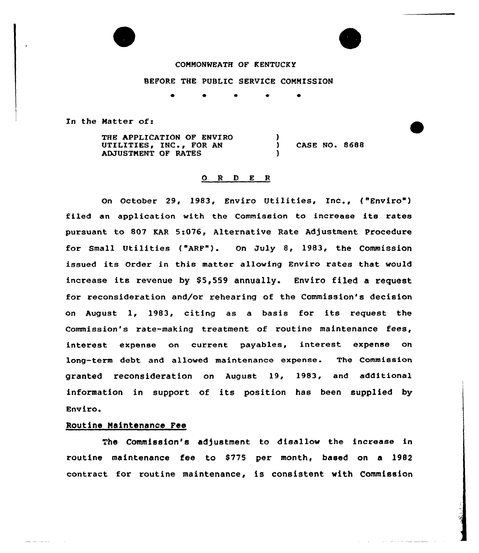

### COMMON%EATH OF KENTUCKY

### BEFORE THE PUBLIC SERVICE COMMISSION

 $\bullet$ 

 $\frac{1}{2}$ 

)

In the Natter of:

THE APPLICATION OF ENVIRO UTILITIES, INC., FOR AN ADJUSTMENT OF RATES

) CASE NO. 8688

 $\mathcal{L}(\mathcal{L}(\mathcal{L}(\mathcal{L}(\mathcal{L}(\mathcal{L}(\mathcal{L}(\mathcal{L}(\mathcal{L}(\mathcal{L}(\mathcal{L}(\mathcal{L}(\mathcal{L}(\mathcal{L}(\mathcal{L}(\mathcal{L}(\mathcal{L}(\mathcal{L}(\mathcal{L}(\mathcal{L}(\mathcal{L}(\mathcal{L}(\mathcal{L}(\mathcal{L}(\mathcal{L}(\mathcal{L}(\mathcal{L}(\mathcal{L}(\mathcal{L}(\mathcal{L}(\mathcal{L}(\mathcal{L}(\mathcal{L}(\mathcal{L}(\mathcal{L}(\mathcal{L}(\mathcal{$ 

## 0 <sup>R</sup> <sup>D</sup> E <sup>R</sup>

on October 29, 1983, Enviro Utilities, Inc., ( Enviro") filed an application with the Commission to increase its rates pursuant to 807 KAR 5:076, Alternative Rate Adjustment Procedure for Small Utilities ( ARF"). On July 8, 1983, the Commission issued its Order in this matter allowing Enviro rates that would increase its revenue by \$5,559 annually. Enviro filed a request for reconsideration and/or rehearing of the Commission's decision on August 1, 1983, citing as <sup>a</sup> basis for its request the Commission's rate-making treatment of routine maintenance fees, interest expense on current payables, interest expense on long-term debt and allowed maintenance expense. The Commission granted reconsideration on August 19, 1983, and additional information in support of its position has been supplied by Enviro.

## Routine Maintenance Fee

الدامريت والتناسب

The Commission's adjustment to disallow the increase in routine maintenance fee to \$775 per month, based on a 1982 contract for routine maintenance, is consistent with Commission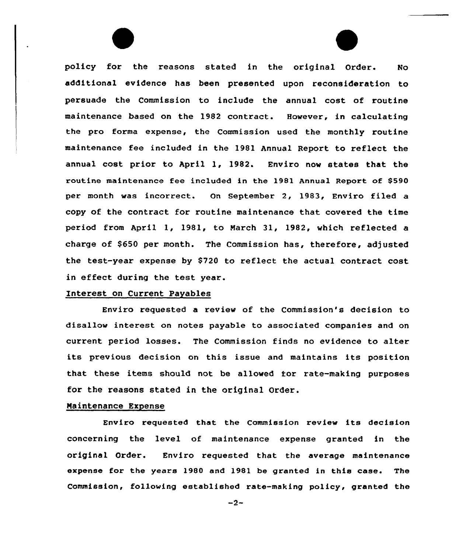policy for the reasons stated in the original Order. No additional evidence has been presented upon reconsideration to persuade the Commission to include the annual cost of routine maintenance based on the 1982 contract. However, in calculating the pro forma expense, the Commission used the monthly routine maintenance fee included in the 1981 Annual Report to reflect the annual cost prior to April 1, 1982. Enviro now states that the routine maintenance fee included in the 1981 Annual Report of \$590 per month was incorrect. On September 2, 1983, Enviro filed a copy of the contract for routine maintenance that covered the time period from April 1, 1981, to March 31, 1982, which reflected a charge of \$650 per month. The Commission has, therefore, adjusted the test-year expense by \$720 to reflect the actual contract cost in effect during the test year.

#### Interest on Current Payables

Enviro requested a review of the Commission's decision to disallow interest on notes payable to associated companies and on current period losses. The Commission finds no evidence to alter its previous decision on this issue and maintains its position that these items should not be allowed for rate-making purposes for the reasons stated in the original Order.

## Maintenance Expense

Enviro requested that the Commission review its decision concerning the level of maintenance expense granted in the original Order. Enviro requested that the average maintenance expense for the years 1980 and 1981 be granted in this case. The Commission, following established rate-making policy, granted the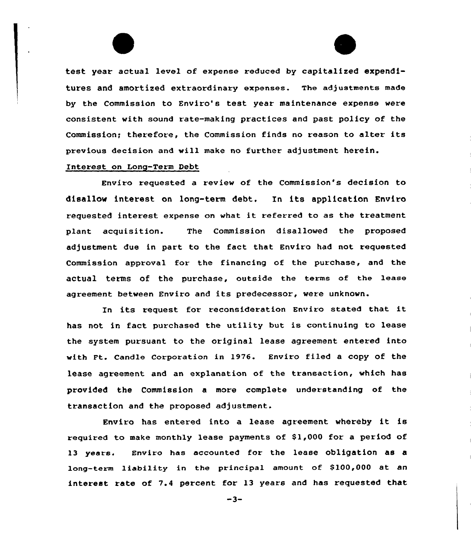test year actual level of expense reduced by capitalized expenditures and amortized extraordinary expenses. The adjustments made by the Commission to Enviro's test year maintenance expense were consistent with sound rate-making practices and past policy of the Commission; therefore, the Commission finds no reason to alter its previous decision and will make no further adjustment herein.

## Interest on Long-Term Debt

Enviro requested a review of the Commission's decision to disallow interest on long-tenn debt, In its application Enviro requested interest expense on what it referred to as the treatment plant acquisition. The Commission disallowed the proposed adjustment due in part to the fact that Enviro had not requested Commission approval for the financing of the purchase, and the actual terms of the purchase, outside the terms of the lease agreement between Enviro and its predecessor, were unknown.

In its request for reconsideration Enviro stated that it has not in fact purchased the utility but is continuing to lease the system pursuant to the original lease agreement entered into with Ft. Candle Corporation in 1976. Enviro filed a copy of the lease agreement and an explanation of the transaction, which has provided the Commission a more complete understanding of the transaction and the proposed adjustment.

Enviro has entered into <sup>a</sup> lease agreement whereby it is required to make monthly lease payments of \$1,000 for a period of 13 years. Enviro has accounted for the lease obligation as a long-term liability in the principal amount of \$100,000 at an interest rate of 7.4 percent for 13 years and has requested that

 $-3-$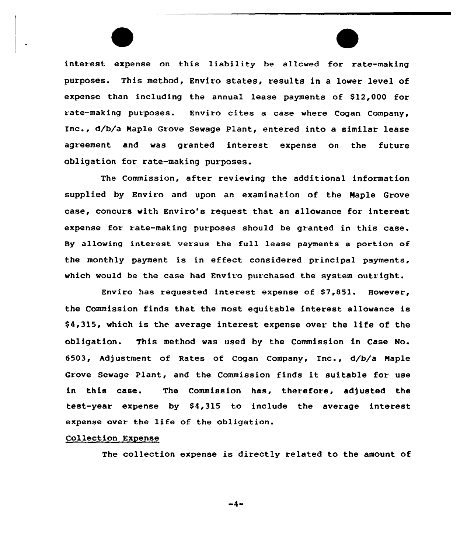interest expense on this liability be allcwed for rate-making purposes. This method, Enviro states, results in a lower level of expense than including the annual lease payments of \$12,000 for rate-making purposes. Enviro cites a case where Cogan Company, Inc., d/b/a Maple Grove Sewage Plant, entered into a similar lease agreement and was granted interest expense on the future obligation for rate-making purposes.

The Commission, after reviewing the additional information supplied by Enviro and upon an examination of the Maple Grove case, concurs with Enviro's request that an allowance for interest expense for rate-making purposes should be granted in this case. By allowing interest versus the full lease payments a portion of the monthly payment is in effect considered principal payments, which would be the case had Enviro purchased the system outright.

Enviro has requested interest expense of \$7,851. However, the Commission finds that the most equitable interest allowance is \$ 4,315, which is the average interest expense over the life of the obligation. This method was used by the Commission in Case No. 6503, Adjustment of Rates of Cogan Company, Inc., d/b/a Maple Grove Sewage Plant, and the Commission finds it suitable for use in this case. The Commission has, therefore, adjusted the test-year expense by \$4,315 to include the average interest expense over the life of the obligation.

#### Collection Expense

The collection expense is directly related to the amount of

 $-4-$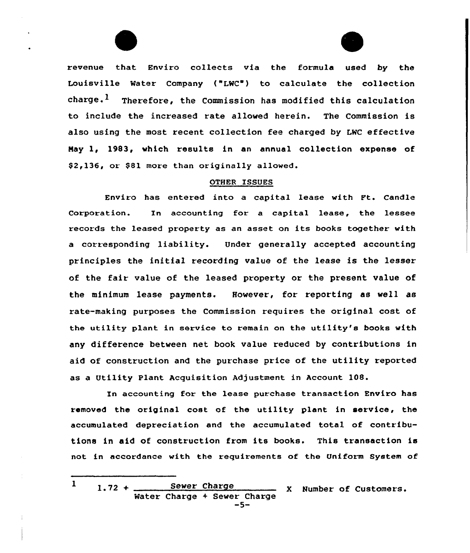



revenue that Enviro collects via the formula used by the Louisville Water Company ("LWC ) to calculate the collection  $~$ charge.<sup>1</sup> Therefore, the Commission has modified this calculation ta include the increased rate allowed herein. The Commission is also using the most recent collection fee charged by LWC effective May 1, 1983, which results in an annual collection expense of \$2,136, or \$81 more than originally allowed.

### OTHER ISSUES

Enviro has entered inta a capital lease with Ft. Candle Corporation. In accounting for a capital lease, the lessee records the leased property as an asset on its books together with a corresponding liability. Under generally accepted accounting principles the initial recording value of the lease is the lesser of the fair value of the leased property or the present value of the minimum lease payments. However, for reporting as well as rate-making purposes the Commission requires the original cost of the utility plant in service to remain on the utility's books with any difference between net book value reduced by contributions in aid of construction and the purchase price of the utility reported as a Utility Plant Acquisition Adjustment in Account 108.

In accounting for the lease purchase transaction Enviro has removed the original cost of the utility plant in service, the accumulated depreciation and the accumulated total of contributions in aid of construction from its books. This transaction is not in accordance with the requirements of the Uniform System of

 $\mathbf{I}$  $1.72 +$  Sewer Charge <sup>X</sup> Number of Customers.Water Charge <sup>+</sup> Sewer Charge -5-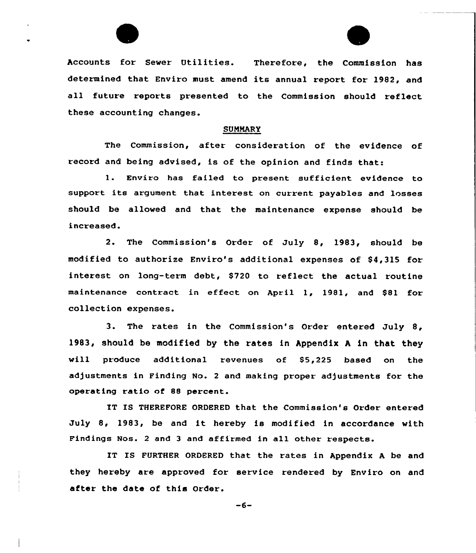Accounts for Sewer Utilities. Therefore, the Commission has determined that Enviro must amend its annual report for 1982, and all future reports presented to the Commission should reflect these accounting changes.

#### SUMMARY

The Commission, after consideration of the evidence of record and being advised, is of the opinion and finds that:

l. Enviro has failed to present sufficient evidence to support its argument that interest on current payables and losses should be allowed and that the maintenance expense should be increased.

2. The Commission's Order of July 8, 1983, should be modified to authorize Enviro's additional expenses of \$4,315 for interest on long-term debt, \$720 to reflect the actual routine maintenance contract in effect on April 1, 1981, and \$81 for collection expenses.

3. The rates in the Commission's Order entered July 8, 1983, should be modified by the rates in Appendix <sup>A</sup> in that they will produce additional revenues of \$5,225 based on the adjustments in Finding No. <sup>2</sup> and making proper adjustments for the operating ratio of 88 percent.

IT IS THEREFORE ORDERED that the Commission's Order entered July 8, 1983, be and it hereby is modified in accordance with Findings Nos. <sup>2</sup> and <sup>3</sup> and affirmed in all other respects.

IT IS FURTHER ORDERED that the rates in Appendix <sup>A</sup> be and they hereby are approved for service rendered by Enviro on and after the date of this Order.

 $-6-$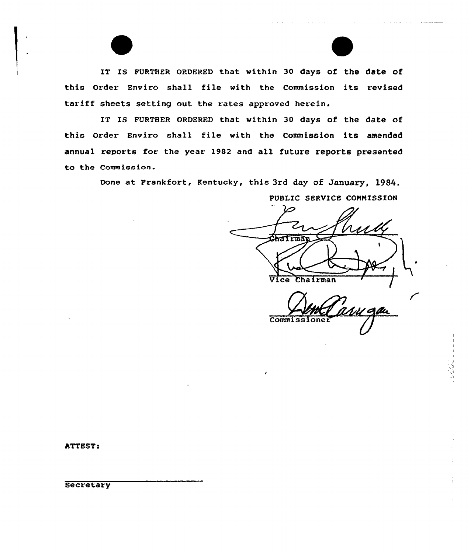IT IS FURTHER ORDERED that within 30 days of the date of this Order Enviro shall file with the Commission its revised tariff sheets setting out the rates approved herein.

IT IS FURTHER ORDERED that within 30 days of the date of this Order Enviro shall file with the Commission its amended annual reports for the year 1982 and all future reports presented to the Commission.

Done at Frankfort, Kentucky, this 3rd day of January, 1984.

PUBLIC SERVICE COMMISSION Chairman Vice Chairman

 $\sim 100$  km s  $^{-1}$  and  $\sim 100$ 

**Commissioner** 

**ATTEST:** 

**Secretary**